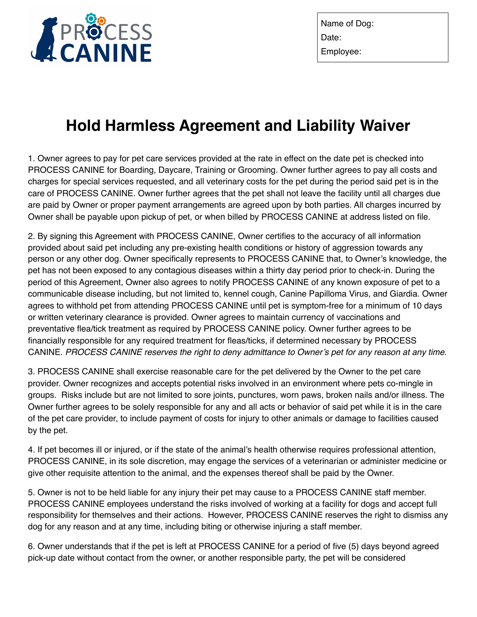

Name of Dog: Date: Employee:

# **Hold Harmless Agreement and Liability Waiver**

1. Owner agrees to pay for pet care services provided at the rate in effect on the date pet is checked into PROCESS CANINE for Boarding, Daycare, Training or Grooming. Owner further agrees to pay all costs and charges for special services requested, and all veterinary costs for the pet during the period said pet is in the care of PROCESS CANINE. Owner further agrees that the pet shall not leave the facility until all charges due are paid by Owner or proper payment arrangements are agreed upon by both parties. All charges incurred by Owner shall be payable upon pickup of pet, or when billed by PROCESS CANINE at address listed on file.

2. By signing this Agreement with PROCESS CANINE, Owner certifies to the accuracy of all information provided about said pet including any pre-existing health conditions or history of aggression towards any person or any other dog. Owner specifically represents to PROCESS CANINE that, to Owner's knowledge, the pet has not been exposed to any contagious diseases within a thirty day period prior to check-in. During the period of this Agreement, Owner also agrees to notify PROCESS CANINE of any known exposure of pet to a communicable disease including, but not limited to, kennel cough, Canine Papilloma Virus, and Giardia. Owner agrees to withhold pet from attending PROCESS CANINE until pet is symptom-free for a minimum of 10 days or written veterinary clearance is provided. Owner agrees to maintain currency of vaccinations and preventative flea/tick treatment as required by PROCESS CANINE policy. Owner further agrees to be financially responsible for any required treatment for fleas/ticks, if determined necessary by PROCESS CANINE. *PROCESS CANINE reserves the right to deny admittance to Owner's pet for any reason at any time.*

3. PROCESS CANINE shall exercise reasonable care for the pet delivered by the Owner to the pet care provider. Owner recognizes and accepts potential risks involved in an environment where pets co-mingle in groups. Risks include but are not limited to sore joints, punctures, worn paws, broken nails and/or illness. The Owner further agrees to be solely responsible for any and all acts or behavior of said pet while it is in the care of the pet care provider, to include payment of costs for injury to other animals or damage to facilities caused by the pet.

4. If pet becomes ill or injured, or if the state of the animal's health otherwise requires professional attention, PROCESS CANINE, in its sole discretion, may engage the services of a veterinarian or administer medicine or give other requisite attention to the animal, and the expenses thereof shall be paid by the Owner.

5. Owner is not to be held liable for any injury their pet may cause to a PROCESS CANINE staff member. PROCESS CANINE employees understand the risks involved of working at a facility for dogs and accept full responsibility for themselves and their actions. However, PROCESS CANINE reserves the right to dismiss any dog for any reason and at any time, including biting or otherwise injuring a staff member.

6. Owner understands that if the pet is left at PROCESS CANINE for a period of five (5) days beyond agreed pick-up date without contact from the owner, or another responsible party, the pet will be considered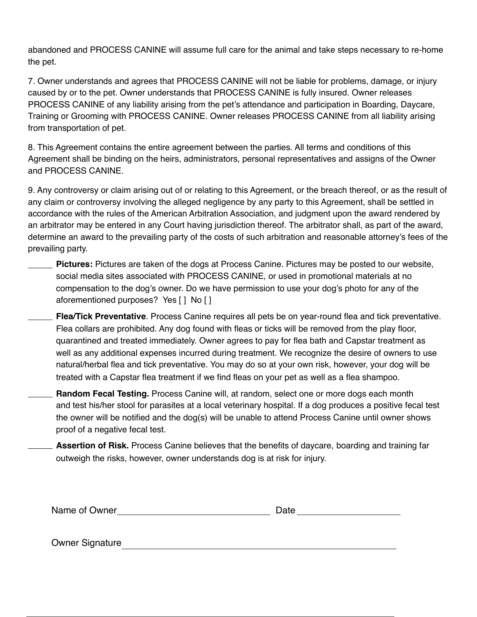abandoned and PROCESS CANINE will assume full care for the animal and take steps necessary to re-home the pet.

7. Owner understands and agrees that PROCESS CANINE will not be liable for problems, damage, or injury caused by or to the pet. Owner understands that PROCESS CANINE is fully insured. Owner releases PROCESS CANINE of any liability arising from the pet's attendance and participation in Boarding, Daycare, Training or Grooming with PROCESS CANINE. Owner releases PROCESS CANINE from all liability arising from transportation of pet.

8. This Agreement contains the entire agreement between the parties. All terms and conditions of this Agreement shall be binding on the heirs, administrators, personal representatives and assigns of the Owner and PROCESS CANINE.

9. Any controversy or claim arising out of or relating to this Agreement, or the breach thereof, or as the result of any claim or controversy involving the alleged negligence by any party to this Agreement, shall be settled in accordance with the rules of the American Arbitration Association, and judgment upon the award rendered by an arbitrator may be entered in any Court having jurisdiction thereof. The arbitrator shall, as part of the award, determine an award to the prevailing party of the costs of such arbitration and reasonable attorney's fees of the prevailing party.

- **Pictures:** Pictures are taken of the dogs at Process Canine. Pictures may be posted to our website, social media sites associated with PROCESS CANINE, or used in promotional materials at no compensation to the dog's owner. Do we have permission to use your dog's photo for any of the aforementioned purposes? Yes [ ] No [ ]
- **Flea/Tick Preventative**. Process Canine requires all pets be on year-round flea and tick preventative. Flea collars are prohibited. Any dog found with fleas or ticks will be removed from the play floor, quarantined and treated immediately. Owner agrees to pay for flea bath and Capstar treatment as well as any additional expenses incurred during treatment. We recognize the desire of owners to use natural/herbal flea and tick preventative. You may do so at your own risk, however, your dog will be treated with a Capstar flea treatment if we find fleas on your pet as well as a flea shampoo.
- **Random Fecal Testing.** Process Canine will, at random, select one or more dogs each month and test his/her stool for parasites at a local veterinary hospital. If a dog produces a positive fecal test the owner will be notified and the dog(s) will be unable to attend Process Canine until owner shows proof of a negative fecal test.
- **Assertion of Risk.** Process Canine believes that the benefits of daycare, boarding and training far outweigh the risks, however, owner understands dog is at risk for injury.

| Name of Owner | Date |
|---------------|------|
|               |      |

Owner Signature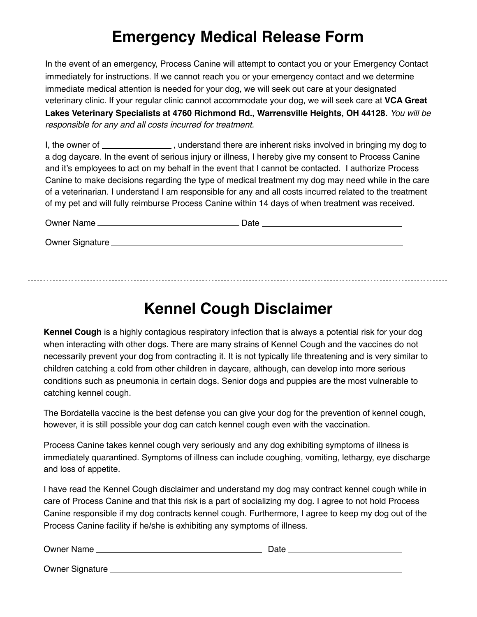### **Emergency Medical Release Form**

In the event of an emergency, Process Canine will attempt to contact you or your Emergency Contact immediately for instructions. If we cannot reach you or your emergency contact and we determine immediate medical attention is needed for your dog, we will seek out care at your designated veterinary clinic. If your regular clinic cannot accommodate your dog, we will seek care at **VCA Great Lakes Veterinary Specialists at 4760 Richmond Rd., Warrensville Heights, OH 44128.** *You will be responsible for any and all costs incurred for treatment.* 

I, the owner of  $\Box$ , understand there are inherent risks involved in bringing my dog to a dog daycare. In the event of serious injury or illness, I hereby give my consent to Process Canine and it's employees to act on my behalf in the event that I cannot be contacted. I authorize Process Canine to make decisions regarding the type of medical treatment my dog may need while in the care of a veterinarian. I understand I am responsible for any and all costs incurred related to the treatment of my pet and will fully reimburse Process Canine within 14 days of when treatment was received.

| Owner Name      | Date |  |
|-----------------|------|--|
| Owner Signature |      |  |

## **Kennel Cough Disclaimer**

**Kennel Cough** is a highly contagious respiratory infection that is always a potential risk for your dog when interacting with other dogs. There are many strains of Kennel Cough and the vaccines do not necessarily prevent your dog from contracting it. It is not typically life threatening and is very similar to children catching a cold from other children in daycare, although, can develop into more serious conditions such as pneumonia in certain dogs. Senior dogs and puppies are the most vulnerable to catching kennel cough.

The Bordatella vaccine is the best defense you can give your dog for the prevention of kennel cough, however, it is still possible your dog can catch kennel cough even with the vaccination.

Process Canine takes kennel cough very seriously and any dog exhibiting symptoms of illness is immediately quarantined. Symptoms of illness can include coughing, vomiting, lethargy, eye discharge and loss of appetite.

I have read the Kennel Cough disclaimer and understand my dog may contract kennel cough while in care of Process Canine and that this risk is a part of socializing my dog. I agree to not hold Process Canine responsible if my dog contracts kennel cough. Furthermore, I agree to keep my dog out of the Process Canine facility if he/she is exhibiting any symptoms of illness.

Owner Name Date

Owner Signature **Community** Community Community Community Community Community Community Community Community Community Community Community Community Community Community Community Community Community Community Community Comm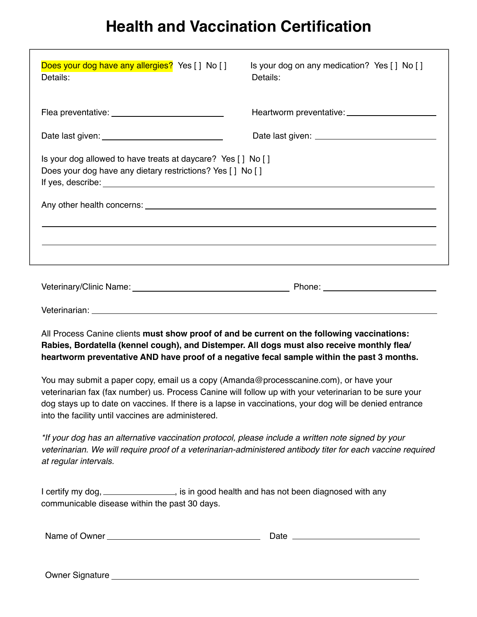#### **Health and Vaccination Certification**

| Does your dog have any allergies? Yes [ ] No [ ]<br>Details:                                                                 | Is your dog on any medication? Yes [] No []<br>Details:                                                                                                                                                                        |  |  |  |
|------------------------------------------------------------------------------------------------------------------------------|--------------------------------------------------------------------------------------------------------------------------------------------------------------------------------------------------------------------------------|--|--|--|
|                                                                                                                              |                                                                                                                                                                                                                                |  |  |  |
|                                                                                                                              |                                                                                                                                                                                                                                |  |  |  |
| Is your dog allowed to have treats at daycare? Yes [ ] No [ ]<br>Does your dog have any dietary restrictions? Yes [ ] No [ ] |                                                                                                                                                                                                                                |  |  |  |
|                                                                                                                              |                                                                                                                                                                                                                                |  |  |  |
|                                                                                                                              | Phone: National Contract of the Contract of the Contract of the Contract of the Contract of the Contract of the Contract of the Contract of the Contract of the Contract of the Contract of the Contract of the Contract of th |  |  |  |

Veterinarian:

All Process Canine clients **must show proof of and be current on the following vaccinations: Rabies, Bordatella (kennel cough), and Distemper. All dogs must also receive monthly flea/ heartworm preventative AND have proof of a negative fecal sample within the past 3 months.**

You may submit a paper copy, email us a copy (Amanda@processcanine.com), or have your veterinarian fax (fax number) us. Process Canine will follow up with your veterinarian to be sure your dog stays up to date on vaccines. If there is a lapse in vaccinations, your dog will be denied entrance into the facility until vaccines are administered.

*\*If your dog has an alternative vaccination protocol, please include a written note signed by your veterinarian. We will require proof of a veterinarian-administered antibody titer for each vaccine required at regular intervals.*

I certify my dog, \_\_\_\_\_\_\_\_\_\_\_\_\_\_\_, is in good health and has not been diagnosed with any communicable disease within the past 30 days.

| Name of C<br>Owner | Date |  |
|--------------------|------|--|
|                    |      |  |

Owner Signature **Communist Communist Communist Communist Communist Communist Communist Communist Communist Communist Communist Communist Communist Communist Communist Communist Communist Communist Communist Communist Commu**